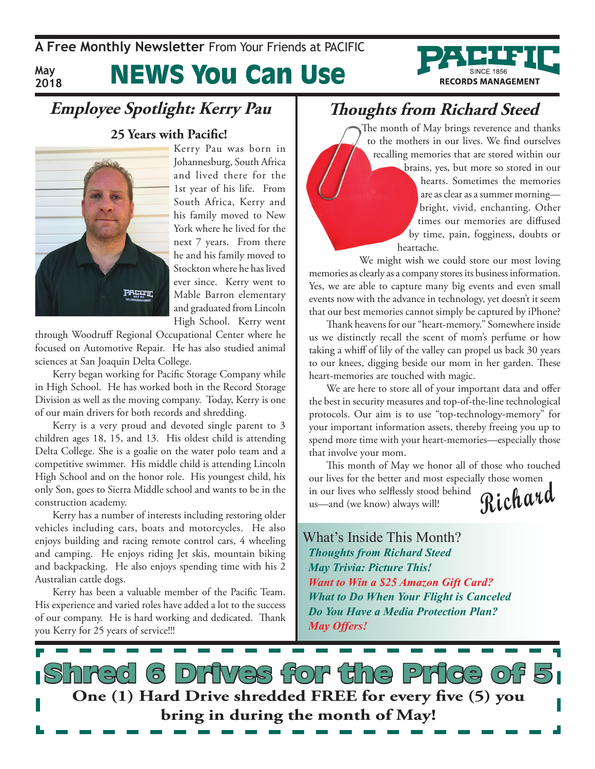**A Free Monthly Newsletter** From Your Friends at PaciFic

**May 2018** News You Can Use

### **Employee Spotlight: Kerry Pau**



**25 Years with Pacific!**

Kerry Pau was born in Johannesburg, South Africa and lived there for the 1st year of his life. From South Africa, Kerry and his family moved to New York where he lived for the next 7 years. From there he and his family moved to Stockton where he has lived ever since. Kerry went to Mable Barron elementary and graduated from Lincoln High School. Kerry went

through Woodruff Regional Occupational Center where he focused on Automotive Repair. He has also studied animal sciences at San Joaquin Delta College.

Kerry began working for Pacific Storage Company while in High School. He has worked both in the Record Storage Division as well as the moving company. Today, Kerry is one of our main drivers for both records and shredding.

Kerry is a very proud and devoted single parent to 3 children ages 18, 15, and 13. His oldest child is attending Delta College. She is a goalie on the water polo team and a competitive swimmer. His middle child is attending Lincoln High School and on the honor role. His youngest child, his only Son, goes to Sierra Middle school and wants to be in the construction academy.

Kerry has a number of interests including restoring older vehicles including cars, boats and motorcycles. He also enjoys building and racing remote control cars, 4 wheeling and camping. He enjoys riding Jet skis, mountain biking and backpacking. He also enjoys spending time with his 2 Australian cattle dogs.

Kerry has been a valuable member of the Pacific Team. His experience and varied roles have added a lot to the success of our company. He is hard working and dedicated. Thank you Kerry for 25 years of service!!!

### **Thoughts from Richard Steed**

The month of May brings reverence and thanks to the mothers in our lives. We find ourselves recalling memories that are stored within our brains, yes, but more so stored in our hearts. Sometimes the memories are as clear as a summer morning bright, vivid, enchanting. Other times our memories are diffused by time, pain, fogginess, doubts or heartache.

**RECORDS MANAGEMENT** 

We might wish we could store our most loving memories as clearly as a company stores its business information. Yes, we are able to capture many big events and even small events now with the advance in technology, yet doesn't it seem that our best memories cannot simply be captured by iPhone?

Thank heavens for our "heart-memory." Somewhere inside us we distinctly recall the scent of mom's perfume or how taking a whiff of lily of the valley can propel us back 30 years to our knees, digging beside our mom in her garden. These heart-memories are touched with magic.

We are here to store all of your important data and offer the best in security measures and top-of-the-line technological protocols. Our aim is to use "top-technology-memory" for your important information assets, thereby freeing you up to spend more time with your heart-memories—especially those that involve your mom.

**Richard** This month of May we honor all of those who touched our lives for the better and most especially those women in our lives who selflessly stood behind us—and (we know) always will!

What's Inside This Month? *Thoughts from Richard Steed May Trivia: Picture This! Want to Win a \$25 Amazon Gift Card? What to Do When Your Flight is Canceled Do You Have a Media Protection Plan? May Offers!*

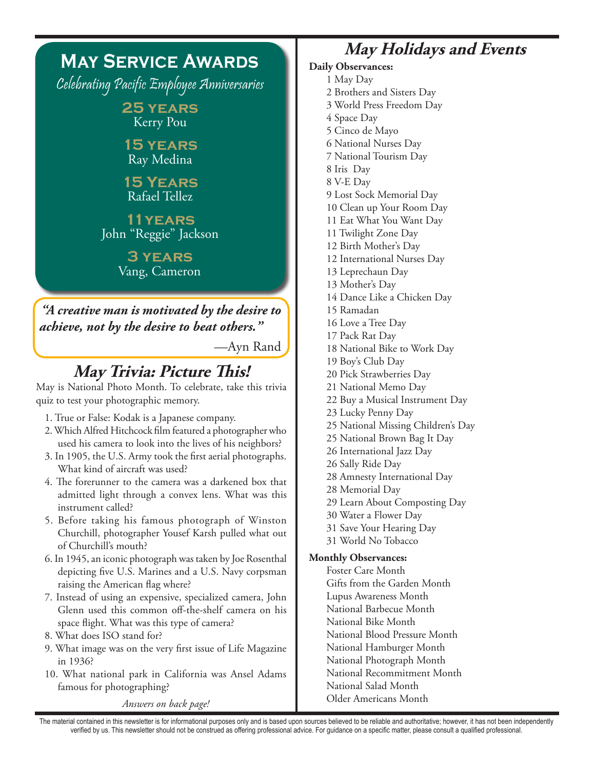#### **May Service Awards** Celebrating Pacific Employee Anniversaries **25 years** Kerry Pou **15 years** Ray Medina **15 Years** Rafael Tellez **11years** John "Reggie" Jackson **3 years** Vang, Cameron **May Trivia: Picture This!** May is National Photo Month. To celebrate, take this trivia quiz to test your photographic memory. 1. True or False: Kodak is a Japanese company. 2. Which Alfred Hitchcock film featured a photographer who used his camera to look into the lives of his neighbors? 3. In 1905, the U.S. Army took the first aerial photographs. What kind of aircraft was used? 4. The forerunner to the camera was a darkened box that admitted light through a convex lens. What was this instrument called? 5. Before taking his famous photograph of Winston Churchill, photographer Yousef Karsh pulled what out of Churchill's mouth? 6. In 1945, an iconic photograph was taken by Joe Rosenthal depicting five U.S. Marines and a U.S. Navy corpsman raising the American flag where? 7. Instead of using an expensive, specialized camera, John Glenn used this common off-the-shelf camera on his space flight. What was this type of camera? 8. What does ISO stand for? 9. What image was on the very first issue of Life Magazine in 1936? 10. What national park in California was Ansel Adams famous for photographing? *Answers on back page! "A creative man is motivated by the desire to achieve, not by the desire to beat others."* —Ayn Rand

### **May Holidays and Events**

**Daily Observances:** 1 May Day 2 Brothers and Sisters Day 3 World Press Freedom Day 4 Space Day 5 Cinco de Mayo 6 National Nurses Day 7 National Tourism Day 8 Iris Day 8 V-E Day 9 Lost Sock Memorial Day 10 Clean up Your Room Day 11 Eat What You Want Day 11 Twilight Zone Day 12 Birth Mother's Day 12 International Nurses Day 13 Leprechaun Day 13 Mother's Day 14 Dance Like a Chicken Day 15 Ramadan 16 Love a Tree Day 17 Pack Rat Day 18 National Bike to Work Day 19 Boy's Club Day 20 Pick Strawberries Day 21 National Memo Day 22 Buy a Musical Instrument Day 23 Lucky Penny Day 25 National Missing Children's Day 25 National Brown Bag It Day 26 International Jazz Day 26 Sally Ride Day 28 Amnesty International Day 28 Memorial Day 29 Learn About Composting Day 30 Water a Flower Day 31 Save Your Hearing Day 31 World No Tobacco **Monthly Observances:** Foster Care Month Gifts from the Garden Month Lupus Awareness Month National Barbecue Month National Bike Month National Blood Pressure Month National Hamburger Month National Photograph Month National Recommitment Month National Salad Month Older Americans Month

The material contained in this newsletter is for informational purposes only and is based upon sources believed to be reliable and authoritative; however, it has not been independently verified by us. This newsletter should not be construed as offering professional advice. For guidance on a specific matter, please consult a qualified professional.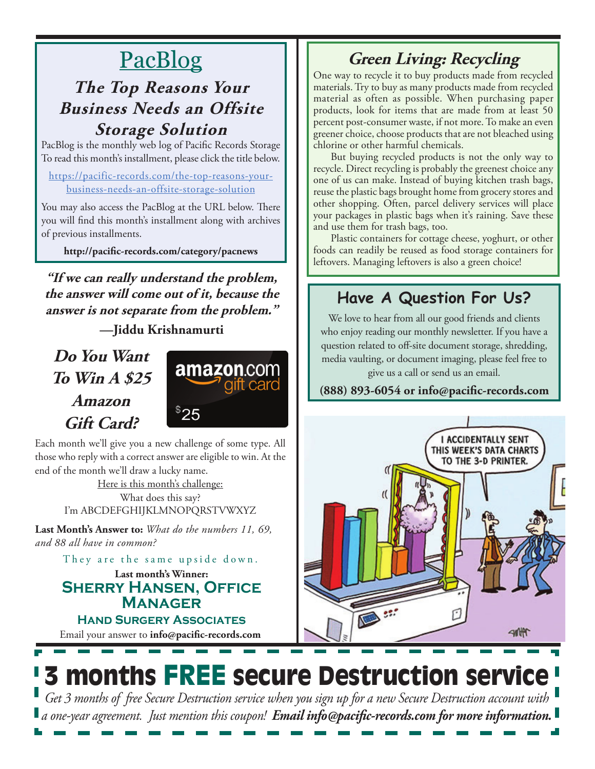# PacBlog

### **The Top Reasons Your Business Needs an Offsite Storage Solution**

PacBlog is the monthly web log of Pacific Records Storage To read this month's installment, please click the title below.

https://pacific-records.com/the-top-reasons-yourbusiness-needs-an-offsite-storage-solution

You may also access the PacBlog at the URL below. There you will find this month's installment along with archives of previous installments.

**http://pacific-records.com/category/pacnews**

**"If we can really understand the problem, the answer will come out of it, because the answer is not separate from the problem."** 

**—Jiddu Krishnamurti**

**Do You Want To Win A \$25 Amazon Gift Card?**



Each month we'll give you a new challenge of some type. All those who reply with a correct answer are eligible to win. At the end of the month we'll draw a lucky name.

> Here is this month's challenge: What does this say? I'm ABCDEFGHIJKLMNOPQRSTVWXYZ

**Last Month's Answer to:** *What do the numbers 11, 69, and 88 all have in common?*

They are the same upside down.

**Last month's Winner: Sherry Hansen, Office Manager**

Email your answer to **info@pacific-records.com Hand Surgery Associates**

# **Green Living: Recycling**

One way to recycle it to buy products made from recycled materials. Try to buy as many products made from recycled material as often as possible. When purchasing paper products, look for items that are made from at least 50 percent post-consumer waste, if not more. To make an even greener choice, choose products that are not bleached using chlorine or other harmful chemicals.

But buying recycled products is not the only way to recycle. Direct recycling is probably the greenest choice any one of us can make. Instead of buying kitchen trash bags, reuse the plastic bags brought home from grocery stores and other shopping. Often, parcel delivery services will place your packages in plastic bags when it's raining. Save these and use them for trash bags, too.

Plastic containers for cottage cheese, yoghurt, or other foods can readily be reused as food storage containers for leftovers. Managing leftovers is also a green choice!

### **Have A Question For Us?**

We love to hear from all our good friends and clients who enjoy reading our monthly newsletter. If you have a question related to off-site document storage, shredding, media vaulting, or document imaging, please feel free to give us a call or send us an email.

**(888) 893-6054 or info@pacific-records.com**



# **3 months FREE secure Destruction service**

*Get 3 months of free Secure Destruction service when you sign up for a new Secure Destruction account with a one-year agreement. Just mention this coupon! Email info@pacific-records.com for more information.*